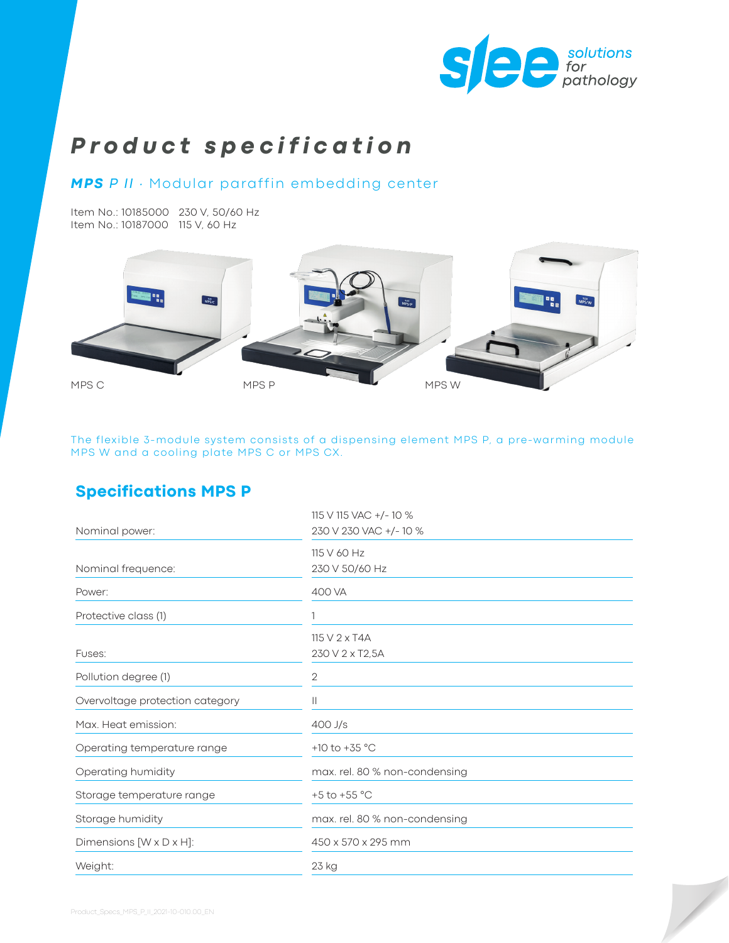

# *Product specification*

#### *MPS P II ∙* Modular paraffin embedding center

Item No.: 10185000 230 V, 50/60 Hz Item No.: 10187000 115 V, 60 Hz



The flexible 3-module system consists of a dispensing element MPS P, a pre-warming module MPS W and a cooling plate MPS C or MPS CX.

## **Specifications MPS P**

| Nominal power:                       | 115 V 115 VAC +/-10 %<br>230 V 230 VAC +/-10 % |
|--------------------------------------|------------------------------------------------|
|                                      | 115 V 60 Hz                                    |
| Nominal frequence:                   | 230 V 50/60 Hz                                 |
| Power:                               | 400 VA                                         |
| Protective class (1)                 |                                                |
|                                      | 115 V 2 x T4A                                  |
| Fuses:                               | 230 V 2 x T2,5A                                |
| Pollution degree (1)                 | $\mathbf{2}$                                   |
| Overvoltage protection category      | Ш                                              |
| Max. Heat emission:                  | $400$ J/s                                      |
| Operating temperature range          | +10 to +35 $^{\circ}$ C                        |
| Operating humidity                   | max. rel. 80 % non-condensing                  |
| Storage temperature range            | +5 to +55 $^{\circ}$ C                         |
| Storage humidity                     | max. rel. 80 % non-condensing                  |
| Dimensions $[W \times D \times H]$ : | 450 x 570 x 295 mm                             |
| Weight:                              | 23 kg                                          |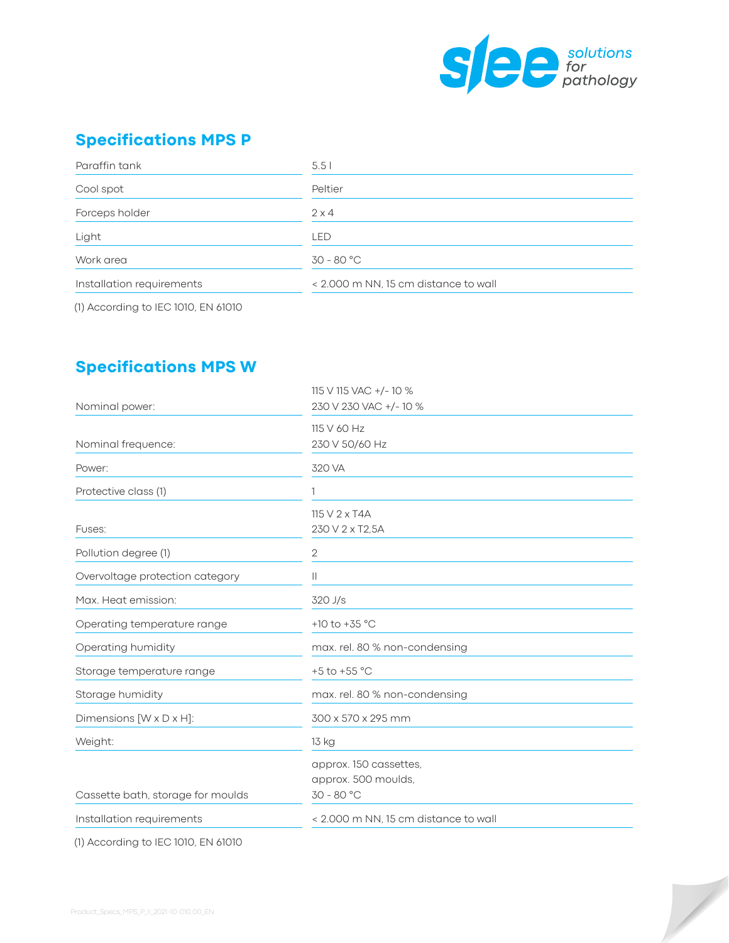

# **Specifications MPS P**

| Paraffin tank             | 5.51                                 |
|---------------------------|--------------------------------------|
| Cool spot                 | Peltier                              |
| Forceps holder            | $2 \times 4$                         |
| Light                     | LED                                  |
| Work area                 | $30 - 80 °C$                         |
| Installation requirements | < 2.000 m NN, 15 cm distance to wall |

(1) According to IEC 1010, EN 61010

## **Specifications MPS W**

| Nominal power:                    | 115 V 115 VAC +/-10 %<br>230 V 230 VAC +/-10 %                |
|-----------------------------------|---------------------------------------------------------------|
| Nominal frequence:                | 115 V 60 Hz<br>230 V 50/60 Hz                                 |
| Power:                            | 320 VA                                                        |
| Protective class (1)              |                                                               |
| Fuses:                            | 115 V 2 x T4A<br>230 V 2 x T2,5A                              |
| Pollution degree (1)              | 2                                                             |
| Overvoltage protection category   | Ш                                                             |
| Max. Heat emission:               | 320 J/s                                                       |
| Operating temperature range       | +10 to +35 $^{\circ}$ C                                       |
| Operating humidity                | max. rel. 80 % non-condensing                                 |
| Storage temperature range         | +5 to +55 $^{\circ}$ C                                        |
| Storage humidity                  | max. rel. 80 % non-condensing                                 |
| Dimensions [W x D x H]:           | 300 x 570 x 295 mm                                            |
| Weight:                           | 13 kg                                                         |
| Cassette bath, storage for moulds | approx. 150 cassettes,<br>approx. 500 moulds,<br>$30 - 80 °C$ |
| Installation requirements         | < 2.000 m NN. 15 cm distance to wall                          |
|                                   |                                                               |

(1) According to IEC 1010, EN 61010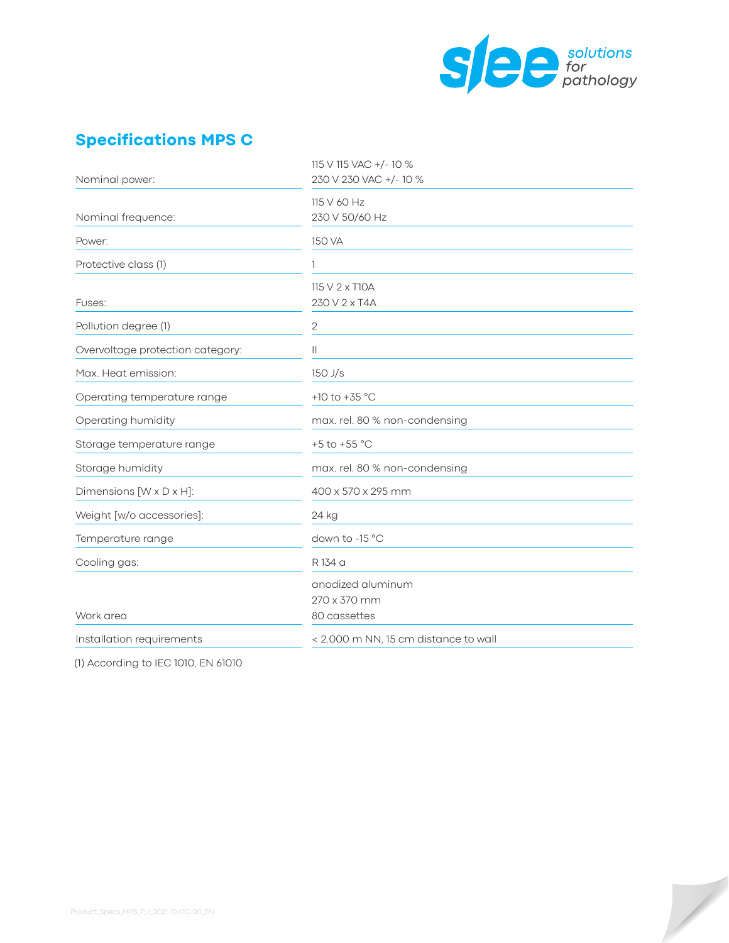

 $\overline{\phantom{a}}$ 

# **Specifications MPS C**

| 115 V 115 VAC +/- 10 %<br>230 V 230 VAC +/-10 %   |
|---------------------------------------------------|
| 115 V 60 Hz<br>230 V 50/60 Hz                     |
| 150 VA                                            |
| 1                                                 |
| 115 V 2 x T10A<br>230 V 2 x T4A                   |
| $\sqrt{2}$                                        |
| $\mathbf{  }$                                     |
| $150$ J/s                                         |
| +10 to +35 $^{\circ}$ C                           |
| max. rel. 80 % non-condensing                     |
| +5 to +55 $^{\circ}$ C                            |
| max. rel. 80 % non-condensing                     |
| 400 x 570 x 295 mm                                |
| 24 kg                                             |
| down to -15 °C                                    |
| R 134 a                                           |
| anodized aluminum<br>270 x 370 mm<br>80 cassettes |
| < 2.000 m NN, 15 cm distance to wall              |
|                                                   |

(1) According to IEC 1010, EN 61010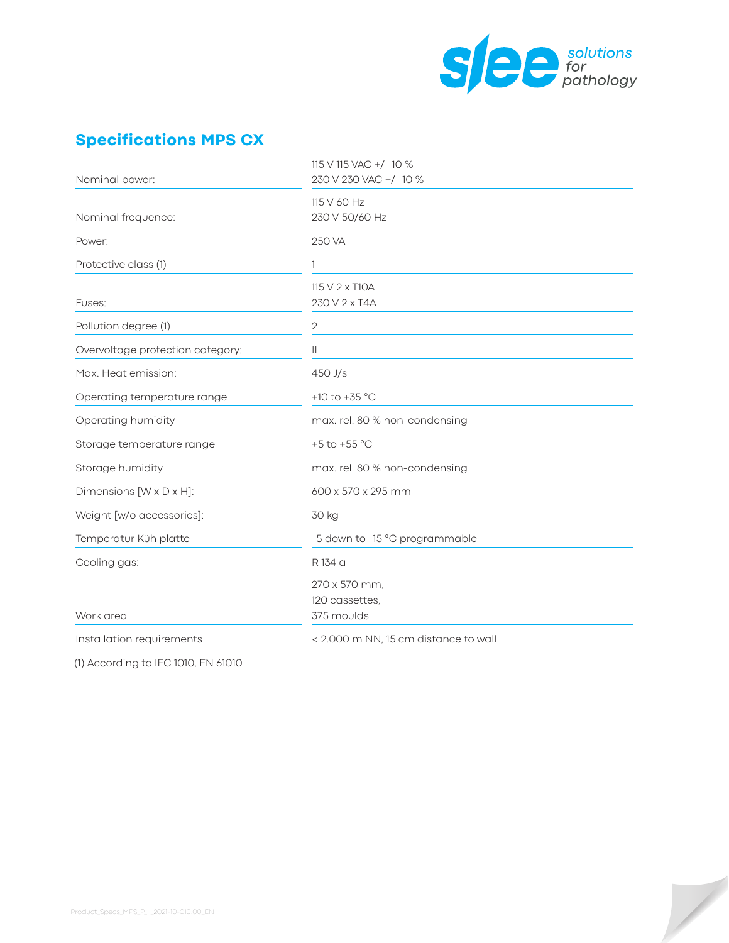

 $\overline{\phantom{a}}$ 

# **Specifications MPS CX**

| Nominal power:                   | 115 V 115 VAC +/-10 %<br>230 V 230 VAC +/-10 % |
|----------------------------------|------------------------------------------------|
|                                  | 115 V 60 Hz                                    |
| Nominal frequence:               | 230 V 50/60 Hz                                 |
| Power:                           | 250 VA                                         |
| Protective class (1)             |                                                |
|                                  | 115 V 2 x T10A                                 |
| Fuses:                           | 230 V 2 x T4A                                  |
| Pollution degree (1)             | 2                                              |
| Overvoltage protection category: | $\mathbf{  }$                                  |
| Max. Heat emission:              | $450$ J/s                                      |
| Operating temperature range      | +10 to +35 $^{\circ}$ C                        |
| Operating humidity               | max. rel. 80 % non-condensing                  |
| Storage temperature range        | +5 to +55 $^{\circ}$ C                         |
| Storage humidity                 | max. rel. 80 % non-condensing                  |
| Dimensions [W x D x H]:          | 600 x 570 x 295 mm                             |
| Weight [w/o accessories]:        | 30 kg                                          |
| Temperatur Kühlplatte            | -5 down to -15 °C programmable                 |
| Cooling gas:                     | R 134 a                                        |
|                                  | 270 x 570 mm,                                  |
|                                  | 120 cassettes.                                 |
| Work area                        | 375 moulds                                     |
| Installation requirements        | < 2.000 m NN, 15 cm distance to wall           |
|                                  |                                                |

(1) According to IEC 1010, EN 61010